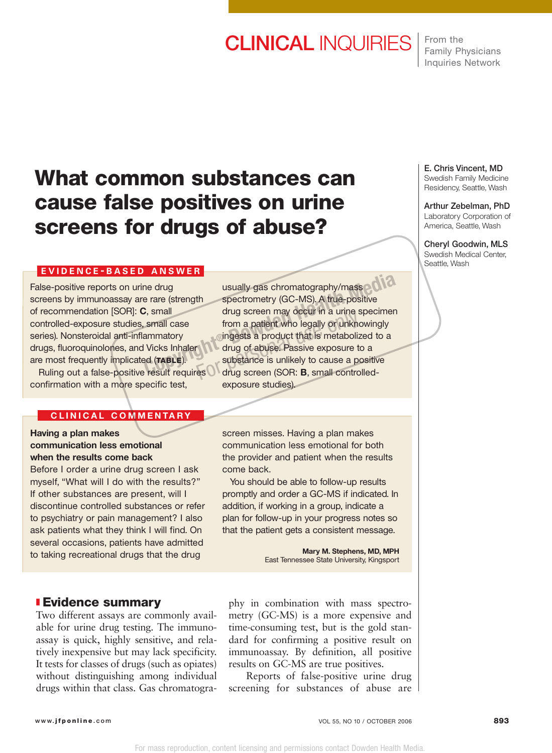# CLINICAL INQUIRIES

From the Family Physicians Inquiries Network

# **What common substances can cause false positives on urine screens for drugs of abuse?**

## **EVIDENCE - BASED ANSWER**

False-positive reports on urine drug screens by immunoassay are rare (strength of recommendation [SOR]: **C**, small controlled-exposure studies, small case series). Nonsteroidal anti-inflammatory drugs, fluoroquinolones, and Vicks Inhaler are most frequently implicated (**TABLE**).

Ruling out a false-positive result requires confirmation with a more specific test,

## **C L I N ICAL COMMENTARY**

## **Having a plan makes communication less emotional when the results come back**

Before I order a urine drug screen I ask myself, "What will I do with the results?" If other substances are present, will I discontinue controlled substances or refer to psychiatry or pain management? I also ask patients what they think I will find. On several occasions, patients have admitted to taking recreational drugs that the drug

# ❚ **Evidence summary**

Two different assays are commonly available for urine drug testing. The immunoassay is quick, highly sensitive, and relatively inexpensive but may lack specificity. It tests for classes of drugs (such as opiates) without distinguishing among individual drugs within that class. Gas chromatogra-

usually gas chromatography/mass spectrometry (GC-MS). A true-positive drug screen may occur in a urine specimen from a patient who legally or unknowingly ingests a product that is metabolized to a drug of abuse. Passive exposure to a substance is unlikely to cause a positive drug screen (SOR: **B**, small controlledexposure studies). **Computer Spectrum In the Spectrum Spectrometry (GC-MS). A true-positive<br>
Computer Spectrometry (GC-MS). A true-positive<br>
Computer Spectrom a patient who legally or unknowingly<br>
ammatory<br>
Computer Spectrum and Computer Spe** Grad a product that is metabolized<br>from a patient who legally or unknowing street a product that is metabolized<br>frug of abuse. Passive exposure to<br>substance is unlikely to cause a product of the substance (SOR: **B**, small

> screen misses. Having a plan makes communication less emotional for both the provider and patient when the results come back.

You should be able to follow-up results promptly and order a GC-MS if indicated. In addition, if working in a group, indicate a plan for follow-up in your progress notes so that the patient gets a consistent message.

> **Mary M. Stephens, MD, MPH** East Tennessee State University, Kingsport

phy in combination with mass spectrometry (GC-MS) is a more expensive and time-consuming test, but is the gold standard for confirming a positive result on immunoassay. By definition, all positive results on GC-MS are true positives.

Reports of false-positive urine drug screening for substances of abuse are E. Chris Vincent, MD

Swedish Family Medicine Residency, Seattle, Wash

#### Arthur Zebelman, PhD Laboratory Corporation of

America, Seattle, Wash

Cheryl Goodwin, MLS Swedish Medical Center, Seattle, Wash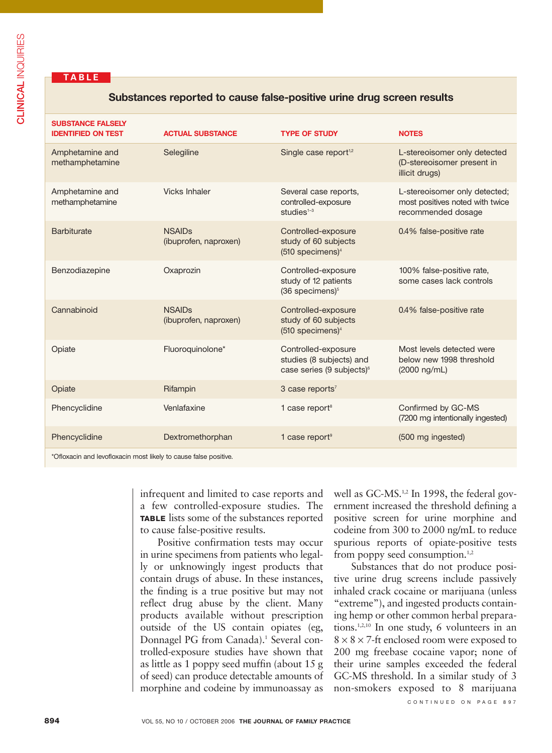# **T ABLE**

### **Substances reported to cause false-positive urine drug screen results**

| <b>SUBSTANCE FALSELY</b><br><b>IDENTIFIED ON TEST</b> | <b>ACTUAL SUBSTANCE</b>                | <b>TYPE OF STUDY</b>                                                                     | <b>NOTES</b>                                                                           |
|-------------------------------------------------------|----------------------------------------|------------------------------------------------------------------------------------------|----------------------------------------------------------------------------------------|
| Amphetamine and<br>methamphetamine                    | Selegiline                             | Single case report <sup>1,2</sup>                                                        | L-stereoisomer only detected<br>(D-stereoisomer present in<br>illicit drugs)           |
| Amphetamine and<br>methamphetamine                    | <b>Vicks Inhaler</b>                   | Several case reports,<br>controlled-exposure<br>studies $1-3$                            | L-stereoisomer only detected;<br>most positives noted with twice<br>recommended dosage |
| <b>Barbiturate</b>                                    | <b>NSAIDs</b><br>(ibuprofen, naproxen) | Controlled-exposure<br>study of 60 subjects<br>$(510$ specimens) <sup>4</sup>            | 0.4% false-positive rate                                                               |
| Benzodiazepine                                        | Oxaprozin                              | Controlled-exposure<br>study of 12 patients<br>$(36$ specimens) $5$                      | 100% false-positive rate,<br>some cases lack controls                                  |
| Cannabinoid                                           | <b>NSAIDs</b><br>(ibuprofen, naproxen) | Controlled-exposure<br>study of 60 subjects<br>$(510$ specimens) <sup>4</sup>            | 0.4% false-positive rate                                                               |
| Opiate                                                | Fluoroquinolone*                       | Controlled-exposure<br>studies (8 subjects) and<br>case series (9 subjects) <sup>6</sup> | Most levels detected were<br>below new 1998 threshold<br>$(2000 \, \text{ng/mL})$      |
| Opiate                                                | Rifampin                               | 3 case reports <sup>7</sup>                                                              |                                                                                        |
| Phencyclidine                                         | Venlafaxine                            | 1 case report <sup>8</sup>                                                               | Confirmed by GC-MS<br>(7200 mg intentionally ingested)                                 |
| Phencyclidine                                         | Dextromethorphan                       | 1 case report <sup>9</sup>                                                               | (500 mg ingested)                                                                      |
|                                                       |                                        |                                                                                          |                                                                                        |

\*Ofloxacin and levofloxacin most likely to cause false positive.

infrequent and limited to case reports and a few controlled-exposure studies. The **TABLE** lists some of the substances reported to cause false-positive results.

Positive confirmation tests may occur in urine specimens from patients who legally or unknowingly ingest products that contain drugs of abuse. In these instances, the finding is a true positive but may not reflect drug abuse by the client. Many products available without prescription outside of the US contain opiates (eg, Donnagel PG from Canada).<sup>1</sup> Several controlled-exposure studies have shown that as little as 1 poppy seed muffin (about 15 g of seed) can produce detectable amounts of morphine and codeine by immunoassay as well as GC-MS.<sup>1,2</sup> In 1998, the federal government increased the threshold defining a positive screen for urine morphine and codeine from 300 to 2000 ng/mL to reduce spurious reports of opiate-positive tests from poppy seed consumption.<sup>1,2</sup>

Substances that do not produce positive urine drug screens include passively inhaled crack cocaine or marijuana (unless "extreme"), and ingested products containing hemp or other common herbal preparations.1,2,10 In one study, 6 volunteers in an  $8 \times 8 \times 7$ -ft enclosed room were exposed to 200 mg freebase cocaine vapor; none of their urine samples exceeded the federal GC-MS threshold. In a similar study of 3 non-smokers exposed to 8 marijuana